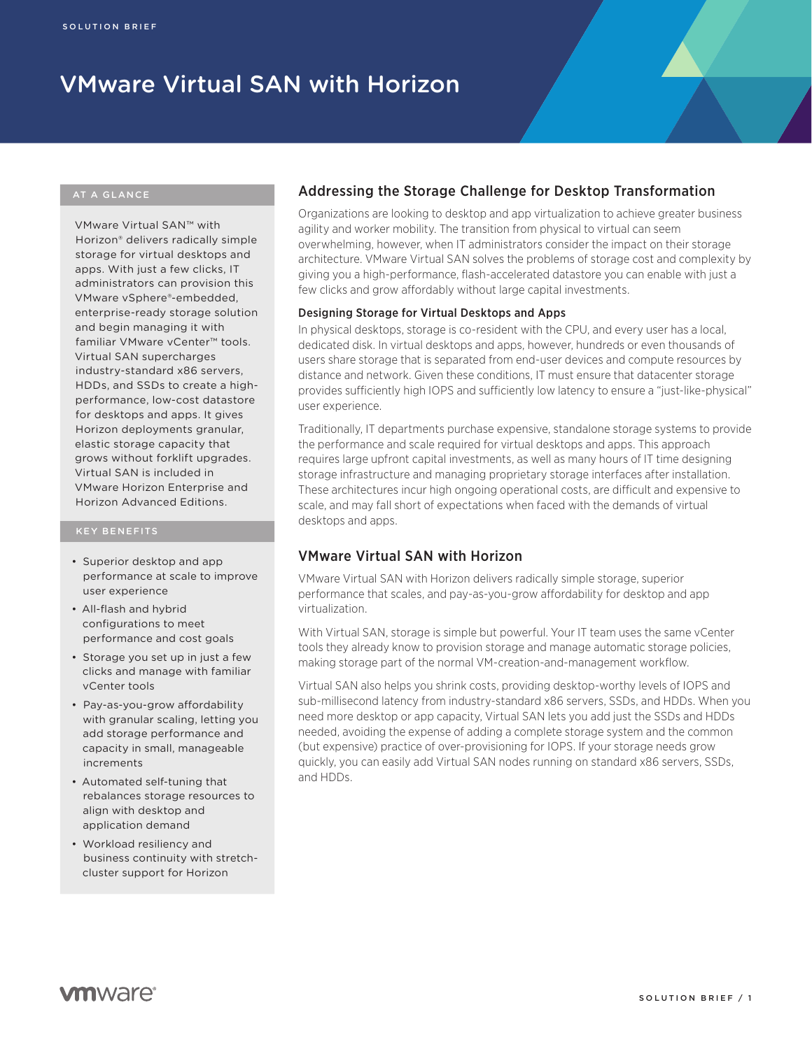# VMware Virtual SAN with Horizon

VMware Virtual SAN™ with Horizon® delivers radically simple storage for virtual desktops and apps. With just a few clicks, IT administrators can provision this VMware vSphere®-embedded, enterprise-ready storage solution and begin managing it with familiar VMware vCenter™ tools. Virtual SAN supercharges industry-standard x86 servers, HDDs, and SSDs to create a highperformance, low-cost datastore for desktops and apps. It gives Horizon deployments granular, elastic storage capacity that grows without forklift upgrades. Virtual SAN is included in VMware Horizon Enterprise and Horizon Advanced Editions.

- • Superior desktop and app performance at scale to improve user experience
- • All-flash and hybrid configurations to meet performance and cost goals
- Storage you set up in just a few clicks and manage with familiar vCenter tools
- • Pay-as-you-grow affordability with granular scaling, letting you add storage performance and capacity in small, manageable increments
- • Automated self-tuning that rebalances storage resources to align with desktop and application demand
- • Workload resiliency and business continuity with stretchcluster support for Horizon

# Addressing the Storage Challenge for Desktop Transformation

Organizations are looking to desktop and app virtualization to achieve greater business agility and worker mobility. The transition from physical to virtual can seem overwhelming, however, when IT administrators consider the impact on their storage architecture. VMware Virtual SAN solves the problems of storage cost and complexity by giving you a high-performance, flash-accelerated datastore you can enable with just a few clicks and grow affordably without large capital investments.

### Designing Storage for Virtual Desktops and Apps

In physical desktops, storage is co-resident with the CPU, and every user has a local, dedicated disk. In virtual desktops and apps, however, hundreds or even thousands of users share storage that is separated from end-user devices and compute resources by distance and network. Given these conditions, IT must ensure that datacenter storage provides sufficiently high IOPS and sufficiently low latency to ensure a "just-like-physical" user experience.

Traditionally, IT departments purchase expensive, standalone storage systems to provide the performance and scale required for virtual desktops and apps. This approach requires large upfront capital investments, as well as many hours of IT time designing storage infrastructure and managing proprietary storage interfaces after installation. These architectures incur high ongoing operational costs, are difficult and expensive to scale, and may fall short of expectations when faced with the demands of virtual desktops and apps.

# VMware Virtual SAN with Horizon

VMware Virtual SAN with Horizon delivers radically simple storage, superior performance that scales, and pay-as-you-grow affordability for desktop and app virtualization.

With Virtual SAN, storage is simple but powerful. Your IT team uses the same vCenter tools they already know to provision storage and manage automatic storage policies, making storage part of the normal VM-creation-and-management workflow.

Virtual SAN also helps you shrink costs, providing desktop-worthy levels of IOPS and sub-millisecond latency from industry-standard x86 servers, SSDs, and HDDs. When you need more desktop or app capacity, Virtual SAN lets you add just the SSDs and HDDs needed, avoiding the expense of adding a complete storage system and the common (but expensive) practice of over-provisioning for IOPS. If your storage needs grow quickly, you can easily add Virtual SAN nodes running on standard x86 servers, SSDs, and HDDs.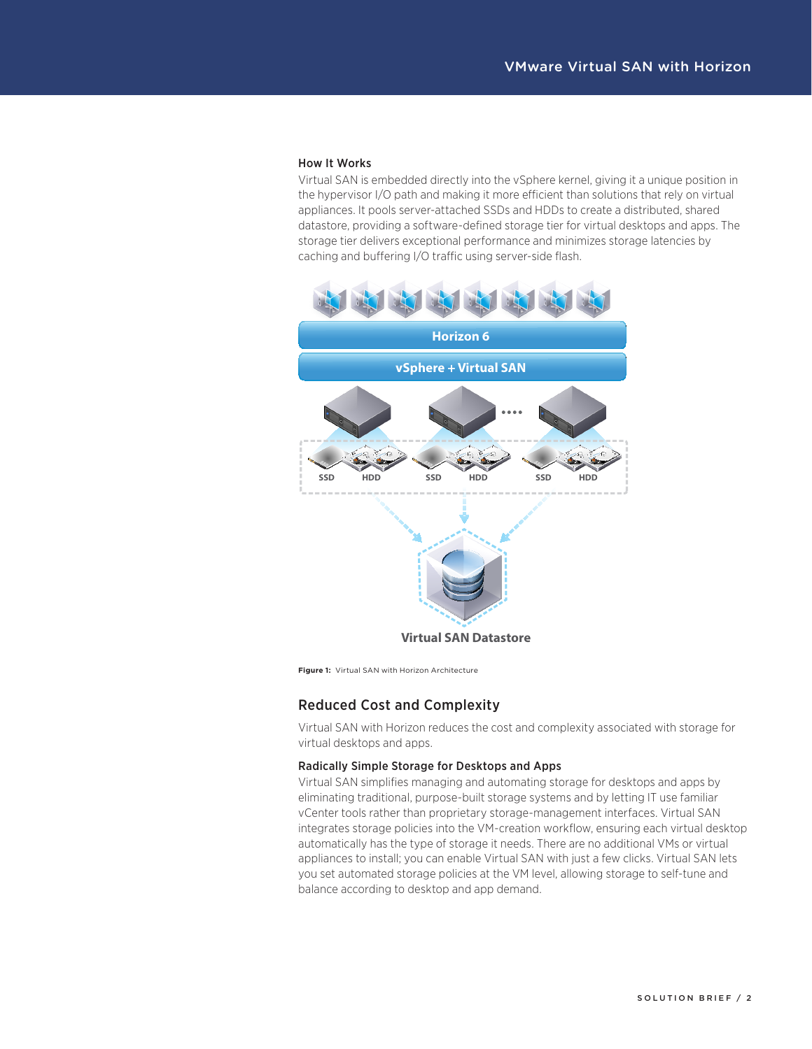#### How It Works

Virtual SAN is embedded directly into the vSphere kernel, giving it a unique position in the hypervisor I/O path and making it more efficient than solutions that rely on virtual appliances. It pools server-attached SSDs and HDDs to create a distributed, shared datastore, providing a software-defined storage tier for virtual desktops and apps. The storage tier delivers exceptional performance and minimizes storage latencies by caching and buffering I/O traffic using server-side flash.



**Figure 1:** Virtual SAN with Horizon Architecture

# Reduced Cost and Complexity

Virtual SAN with Horizon reduces the cost and complexity associated with storage for virtual desktops and apps.

## Radically Simple Storage for Desktops and Apps

Virtual SAN simplifies managing and automating storage for desktops and apps by eliminating traditional, purpose-built storage systems and by letting IT use familiar vCenter tools rather than proprietary storage-management interfaces. Virtual SAN integrates storage policies into the VM-creation workflow, ensuring each virtual desktop automatically has the type of storage it needs. There are no additional VMs or virtual appliances to install; you can enable Virtual SAN with just a few clicks. Virtual SAN lets you set automated storage policies at the VM level, allowing storage to self-tune and balance according to desktop and app demand.